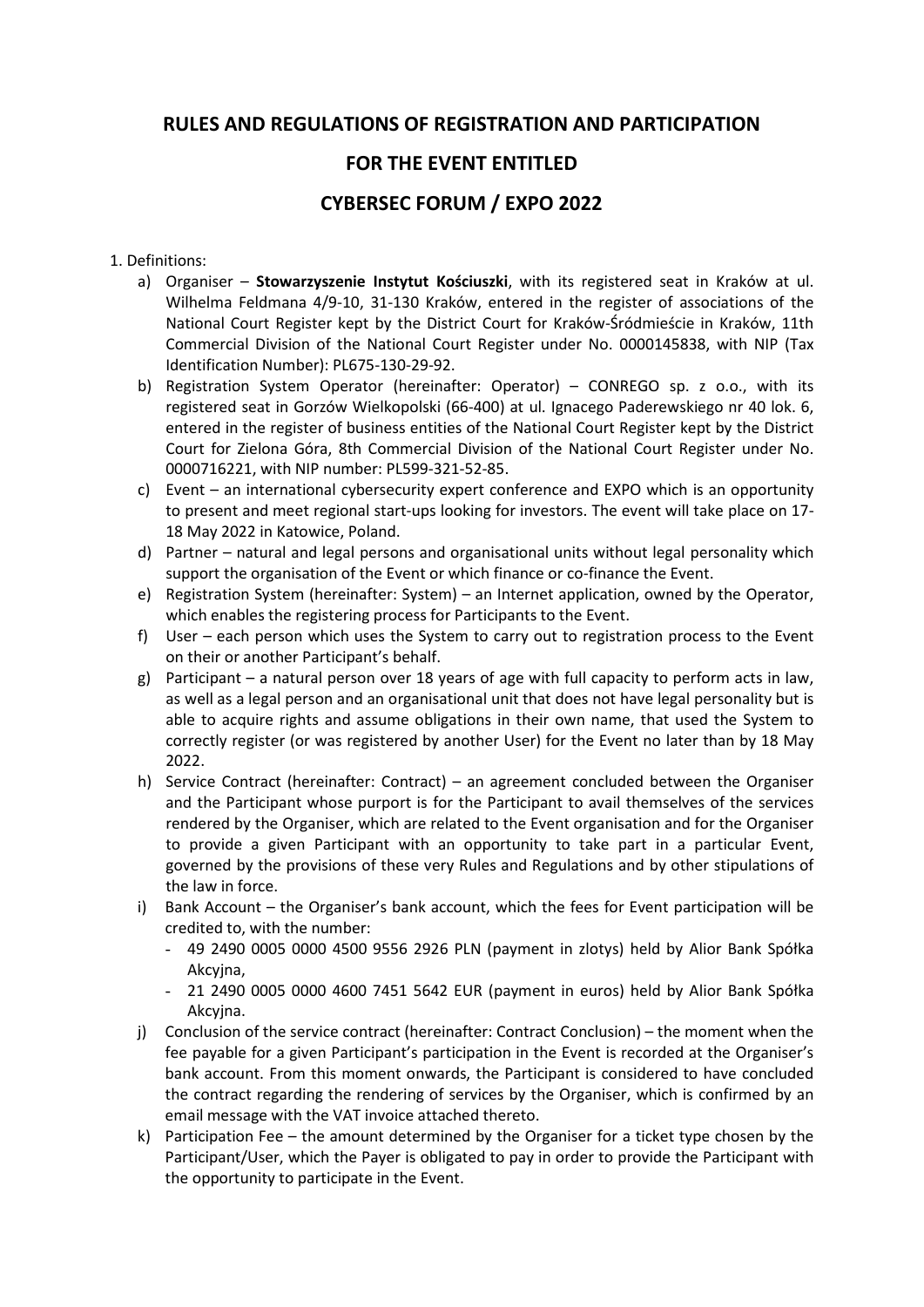# RULES AND REGULATIONS OF REGISTRATION AND PARTICIPATION

## FOR THE EVENT ENTITLED

# CYBERSEC FORUM / EXPO 2022

### 1. Definitions:

- a) Organiser Stowarzyszenie Instytut Kościuszki, with its registered seat in Kraków at ul. Wilhelma Feldmana 4/9-10, 31-130 Kraków, entered in the register of associations of the National Court Register kept by the District Court for Kraków-Śródmieście in Kraków, 11th Commercial Division of the National Court Register under No. 0000145838, with NIP (Tax Identification Number): PL675-130-29-92.
- b) Registration System Operator (hereinafter: Operator) CONREGO sp. z o.o., with its registered seat in Gorzów Wielkopolski (66-400) at ul. Ignacego Paderewskiego nr 40 lok. 6, entered in the register of business entities of the National Court Register kept by the District Court for Zielona Góra, 8th Commercial Division of the National Court Register under No. 0000716221, with NIP number: PL599-321-52-85.
- c) Event an international cybersecurity expert conference and EXPO which is an opportunity to present and meet regional start-ups looking for investors. The event will take place on 17- 18 May 2022 in Katowice, Poland.
- d) Partner natural and legal persons and organisational units without legal personality which support the organisation of the Event or which finance or co-finance the Event.
- e) Registration System (hereinafter: System) an Internet application, owned by the Operator, which enables the registering process for Participants to the Event.
- f) User each person which uses the System to carry out to registration process to the Event on their or another Participant's behalf.
- g) Participant a natural person over 18 years of age with full capacity to perform acts in law, as well as a legal person and an organisational unit that does not have legal personality but is able to acquire rights and assume obligations in their own name, that used the System to correctly register (or was registered by another User) for the Event no later than by 18 May 2022.
- h) Service Contract (hereinafter: Contract) an agreement concluded between the Organiser and the Participant whose purport is for the Participant to avail themselves of the services rendered by the Organiser, which are related to the Event organisation and for the Organiser to provide a given Participant with an opportunity to take part in a particular Event, governed by the provisions of these very Rules and Regulations and by other stipulations of the law in force.
- i) Bank Account the Organiser's bank account, which the fees for Event participation will be credited to, with the number:
	- 49 2490 0005 0000 4500 9556 2926 PLN (payment in zlotys) held by Alior Bank Spółka Akcyjna,
	- 21 2490 0005 0000 4600 7451 5642 EUR (payment in euros) held by Alior Bank Spółka Akcyjna.
- j) Conclusion of the service contract (hereinafter: Contract Conclusion) the moment when the fee payable for a given Participant's participation in the Event is recorded at the Organiser's bank account. From this moment onwards, the Participant is considered to have concluded the contract regarding the rendering of services by the Organiser, which is confirmed by an email message with the VAT invoice attached thereto.
- k) Participation Fee the amount determined by the Organiser for a ticket type chosen by the Participant/User, which the Payer is obligated to pay in order to provide the Participant with the opportunity to participate in the Event.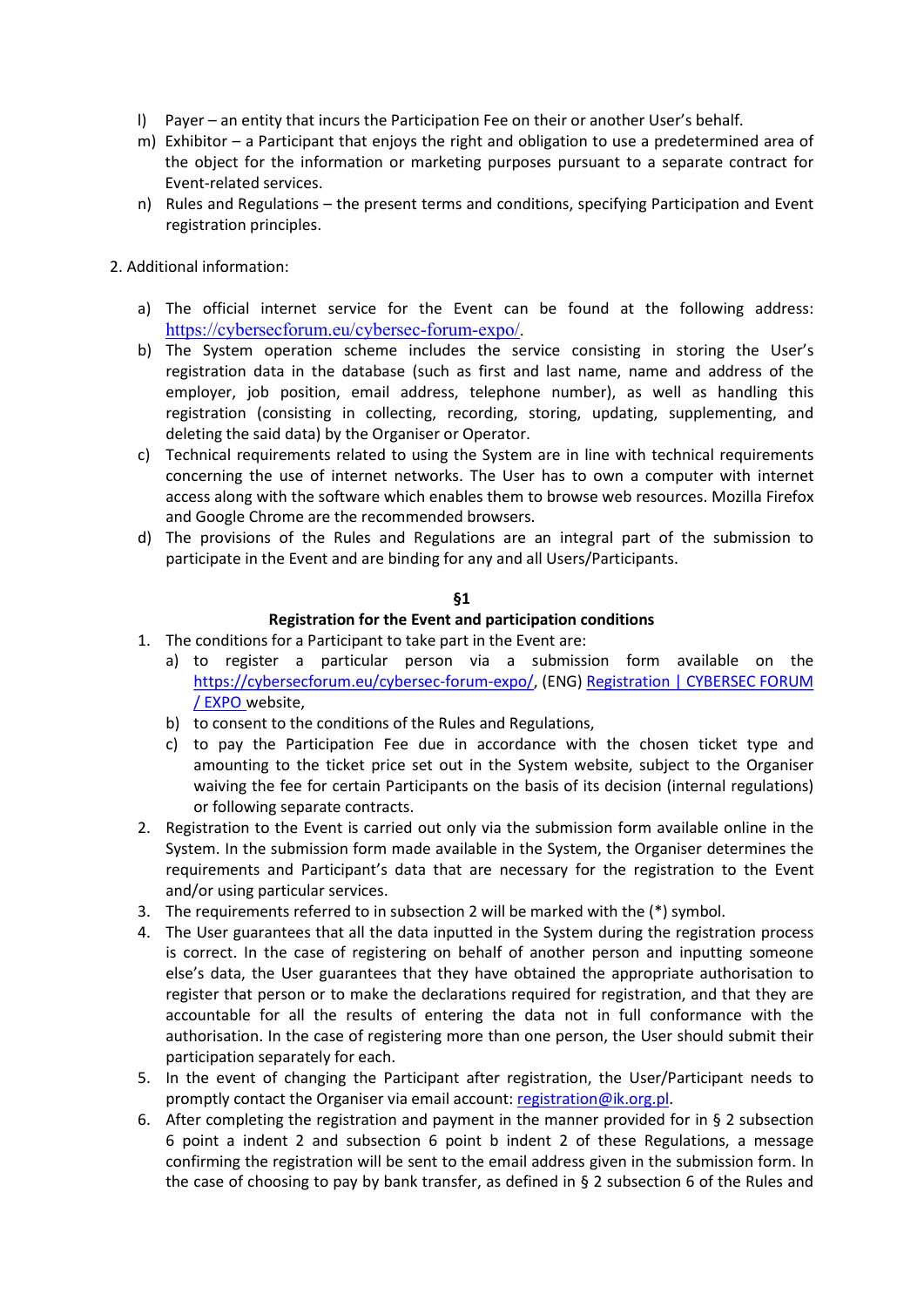- l) Payer an entity that incurs the Participation Fee on their or another User's behalf.
- m) Exhibitor a Participant that enjoys the right and obligation to use a predetermined area of the object for the information or marketing purposes pursuant to a separate contract for Event-related services.
- n) Rules and Regulations the present terms and conditions, specifying Participation and Event registration principles.
- 2. Additional information:
	- a) The official internet service for the Event can be found at the following address: https://cybersecforum.eu/cybersec-forum-expo/.
	- b) The System operation scheme includes the service consisting in storing the User's registration data in the database (such as first and last name, name and address of the employer, job position, email address, telephone number), as well as handling this registration (consisting in collecting, recording, storing, updating, supplementing, and deleting the said data) by the Organiser or Operator.
	- c) Technical requirements related to using the System are in line with technical requirements concerning the use of internet networks. The User has to own a computer with internet access along with the software which enables them to browse web resources. Mozilla Firefox and Google Chrome are the recommended browsers.
	- d) The provisions of the Rules and Regulations are an integral part of the submission to participate in the Event and are binding for any and all Users/Participants.

### Registration for the Event and participation conditions

- 1. The conditions for a Participant to take part in the Event are:
	- a) to register a particular person via a submission form available on the https://cybersecforum.eu/cybersec-forum-expo/, (ENG) Registration | CYBERSEC FORUM / EXPO website,
	- b) to consent to the conditions of the Rules and Regulations,
	- c) to pay the Participation Fee due in accordance with the chosen ticket type and amounting to the ticket price set out in the System website, subject to the Organiser waiving the fee for certain Participants on the basis of its decision (internal regulations) or following separate contracts.
- 2. Registration to the Event is carried out only via the submission form available online in the System. In the submission form made available in the System, the Organiser determines the requirements and Participant's data that are necessary for the registration to the Event and/or using particular services.
- 3. The requirements referred to in subsection 2 will be marked with the (\*) symbol.
- 4. The User guarantees that all the data inputted in the System during the registration process is correct. In the case of registering on behalf of another person and inputting someone else's data, the User guarantees that they have obtained the appropriate authorisation to register that person or to make the declarations required for registration, and that they are accountable for all the results of entering the data not in full conformance with the authorisation. In the case of registering more than one person, the User should submit their participation separately for each.
- 5. In the event of changing the Participant after registration, the User/Participant needs to promptly contact the Organiser via email account: registration@ik.org.pl.
- 6. After completing the registration and payment in the manner provided for in  $\S$  2 subsection 6 point a indent 2 and subsection 6 point b indent 2 of these Regulations, a message confirming the registration will be sent to the email address given in the submission form. In the case of choosing to pay by bank transfer, as defined in § 2 subsection 6 of the Rules and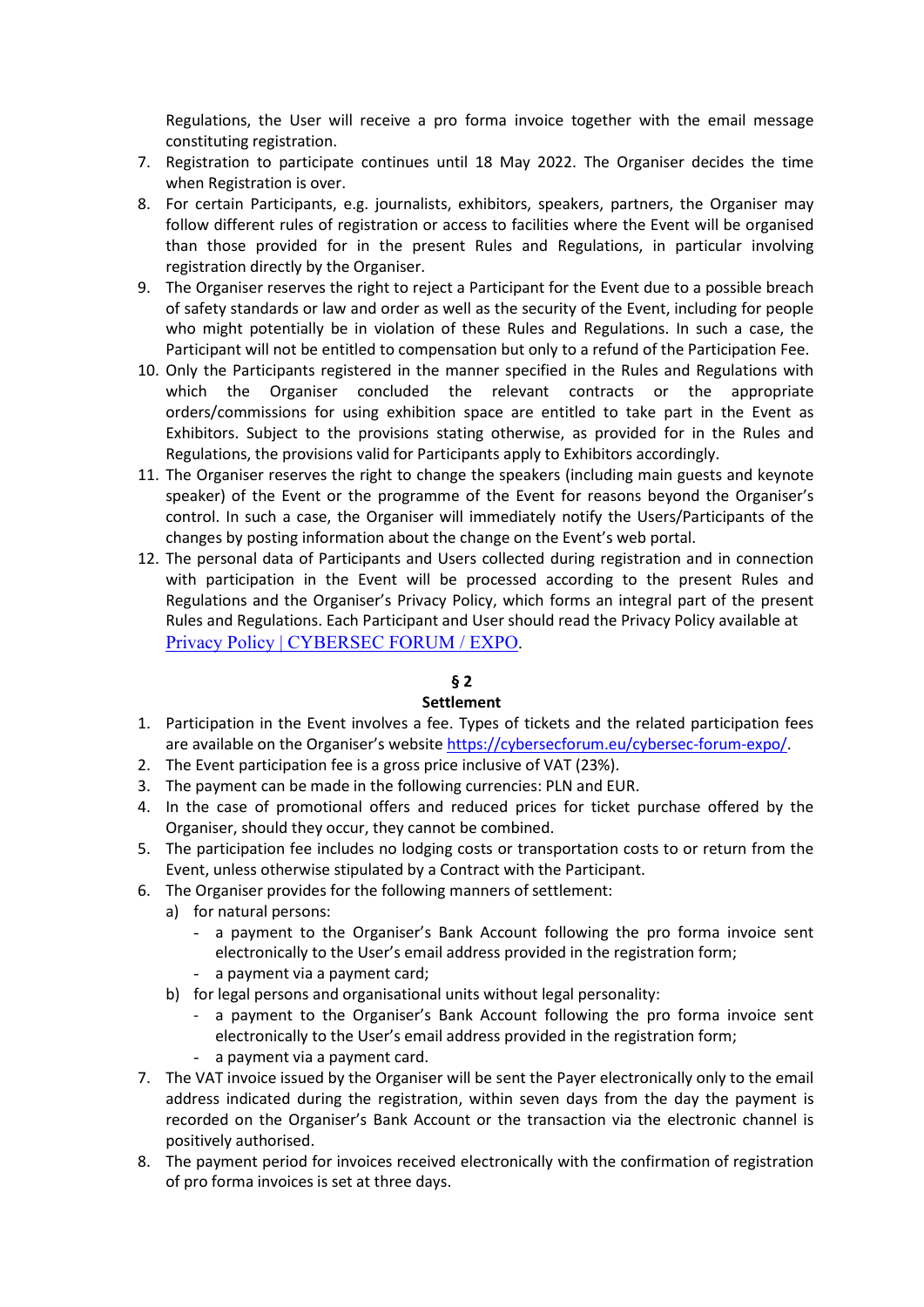Regulations, the User will receive a pro forma invoice together with the email message constituting registration.

- 7. Registration to participate continues until 18 May 2022. The Organiser decides the time when Registration is over.
- 8. For certain Participants, e.g. journalists, exhibitors, speakers, partners, the Organiser may follow different rules of registration or access to facilities where the Event will be organised than those provided for in the present Rules and Regulations, in particular involving registration directly by the Organiser.
- 9. The Organiser reserves the right to reject a Participant for the Event due to a possible breach of safety standards or law and order as well as the security of the Event, including for people who might potentially be in violation of these Rules and Regulations. In such a case, the Participant will not be entitled to compensation but only to a refund of the Participation Fee.
- 10. Only the Participants registered in the manner specified in the Rules and Regulations with which the Organiser concluded the relevant contracts or the appropriate orders/commissions for using exhibition space are entitled to take part in the Event as Exhibitors. Subject to the provisions stating otherwise, as provided for in the Rules and Regulations, the provisions valid for Participants apply to Exhibitors accordingly.
- 11. The Organiser reserves the right to change the speakers (including main guests and keynote speaker) of the Event or the programme of the Event for reasons beyond the Organiser's control. In such a case, the Organiser will immediately notify the Users/Participants of the changes by posting information about the change on the Event's web portal.
- 12. The personal data of Participants and Users collected during registration and in connection with participation in the Event will be processed according to the present Rules and Regulations and the Organiser's Privacy Policy, which forms an integral part of the present Rules and Regulations. Each Participant and User should read the Privacy Policy available at Privacy Policy | CYBERSEC FORUM / EXPO.

## § 2

## **Settlement**

- 1. Participation in the Event involves a fee. Types of tickets and the related participation fees are available on the Organiser's website https://cybersecforum.eu/cybersec-forum-expo/.
- 2. The Event participation fee is a gross price inclusive of VAT (23%).
- 3. The payment can be made in the following currencies: PLN and EUR.
- 4. In the case of promotional offers and reduced prices for ticket purchase offered by the Organiser, should they occur, they cannot be combined.
- 5. The participation fee includes no lodging costs or transportation costs to or return from the Event, unless otherwise stipulated by a Contract with the Participant.
- 6. The Organiser provides for the following manners of settlement:
	- a) for natural persons:
		- a payment to the Organiser's Bank Account following the pro forma invoice sent electronically to the User's email address provided in the registration form;
		- a payment via a payment card;
	- b) for legal persons and organisational units without legal personality:
		- a payment to the Organiser's Bank Account following the pro forma invoice sent electronically to the User's email address provided in the registration form;
		- a payment via a payment card.
- 7. The VAT invoice issued by the Organiser will be sent the Payer electronically only to the email address indicated during the registration, within seven days from the day the payment is recorded on the Organiser's Bank Account or the transaction via the electronic channel is positively authorised.
- 8. The payment period for invoices received electronically with the confirmation of registration of pro forma invoices is set at three days.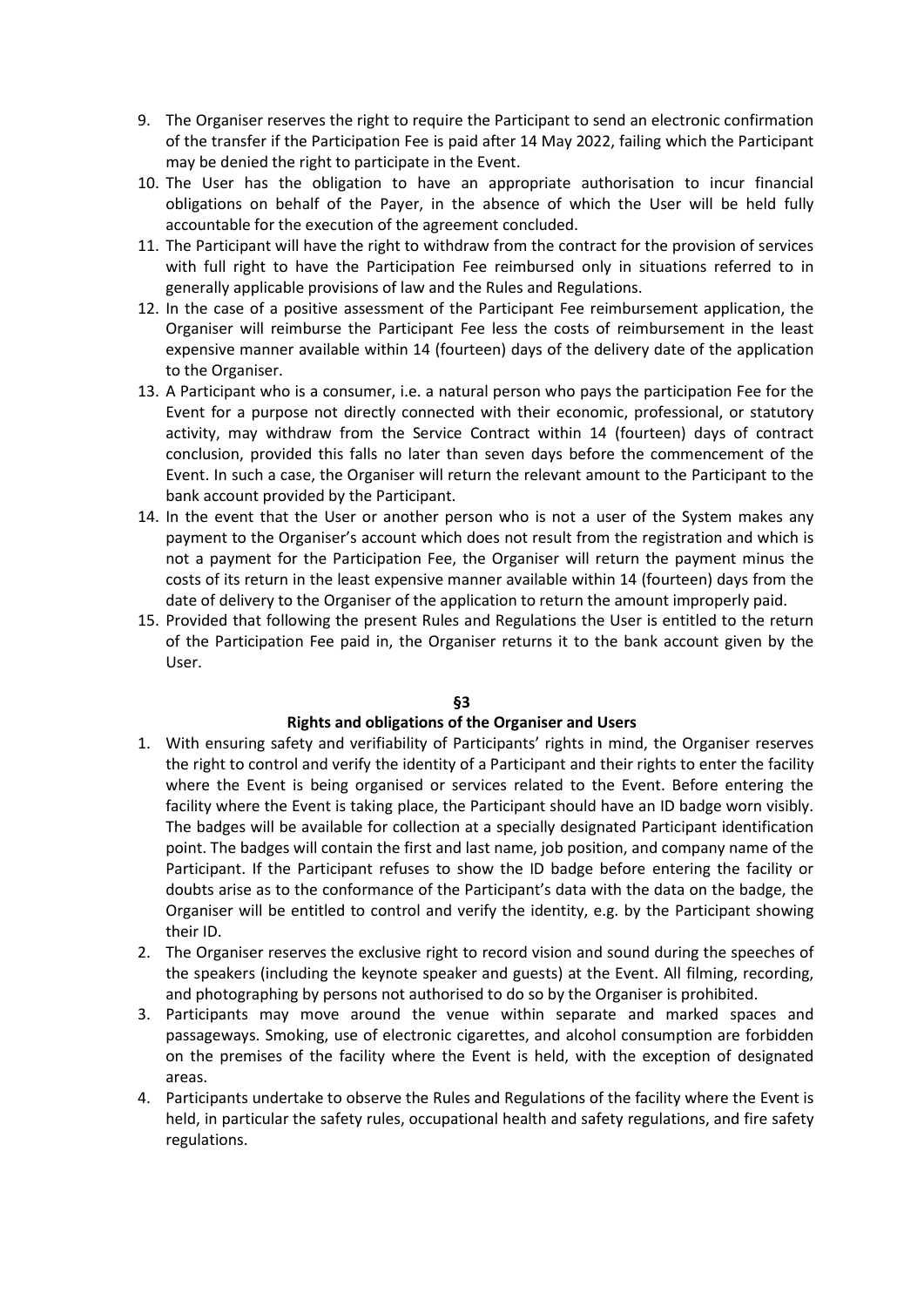- 9. The Organiser reserves the right to require the Participant to send an electronic confirmation of the transfer if the Participation Fee is paid after 14 May 2022, failing which the Participant may be denied the right to participate in the Event.
- 10. The User has the obligation to have an appropriate authorisation to incur financial obligations on behalf of the Payer, in the absence of which the User will be held fully accountable for the execution of the agreement concluded.
- 11. The Participant will have the right to withdraw from the contract for the provision of services with full right to have the Participation Fee reimbursed only in situations referred to in generally applicable provisions of law and the Rules and Regulations.
- 12. In the case of a positive assessment of the Participant Fee reimbursement application, the Organiser will reimburse the Participant Fee less the costs of reimbursement in the least expensive manner available within 14 (fourteen) days of the delivery date of the application to the Organiser.
- 13. A Participant who is a consumer, i.e. a natural person who pays the participation Fee for the Event for a purpose not directly connected with their economic, professional, or statutory activity, may withdraw from the Service Contract within 14 (fourteen) days of contract conclusion, provided this falls no later than seven days before the commencement of the Event. In such a case, the Organiser will return the relevant amount to the Participant to the bank account provided by the Participant.
- 14. In the event that the User or another person who is not a user of the System makes any payment to the Organiser's account which does not result from the registration and which is not a payment for the Participation Fee, the Organiser will return the payment minus the costs of its return in the least expensive manner available within 14 (fourteen) days from the date of delivery to the Organiser of the application to return the amount improperly paid.
- 15. Provided that following the present Rules and Regulations the User is entitled to the return of the Participation Fee paid in, the Organiser returns it to the bank account given by the User.

### Rights and obligations of the Organiser and Users

- 1. With ensuring safety and verifiability of Participants' rights in mind, the Organiser reserves the right to control and verify the identity of a Participant and their rights to enter the facility where the Event is being organised or services related to the Event. Before entering the facility where the Event is taking place, the Participant should have an ID badge worn visibly. The badges will be available for collection at a specially designated Participant identification point. The badges will contain the first and last name, job position, and company name of the Participant. If the Participant refuses to show the ID badge before entering the facility or doubts arise as to the conformance of the Participant's data with the data on the badge, the Organiser will be entitled to control and verify the identity, e.g. by the Participant showing their ID.
- 2. The Organiser reserves the exclusive right to record vision and sound during the speeches of the speakers (including the keynote speaker and guests) at the Event. All filming, recording, and photographing by persons not authorised to do so by the Organiser is prohibited.
- 3. Participants may move around the venue within separate and marked spaces and passageways. Smoking, use of electronic cigarettes, and alcohol consumption are forbidden on the premises of the facility where the Event is held, with the exception of designated areas.
- 4. Participants undertake to observe the Rules and Regulations of the facility where the Event is held, in particular the safety rules, occupational health and safety regulations, and fire safety regulations.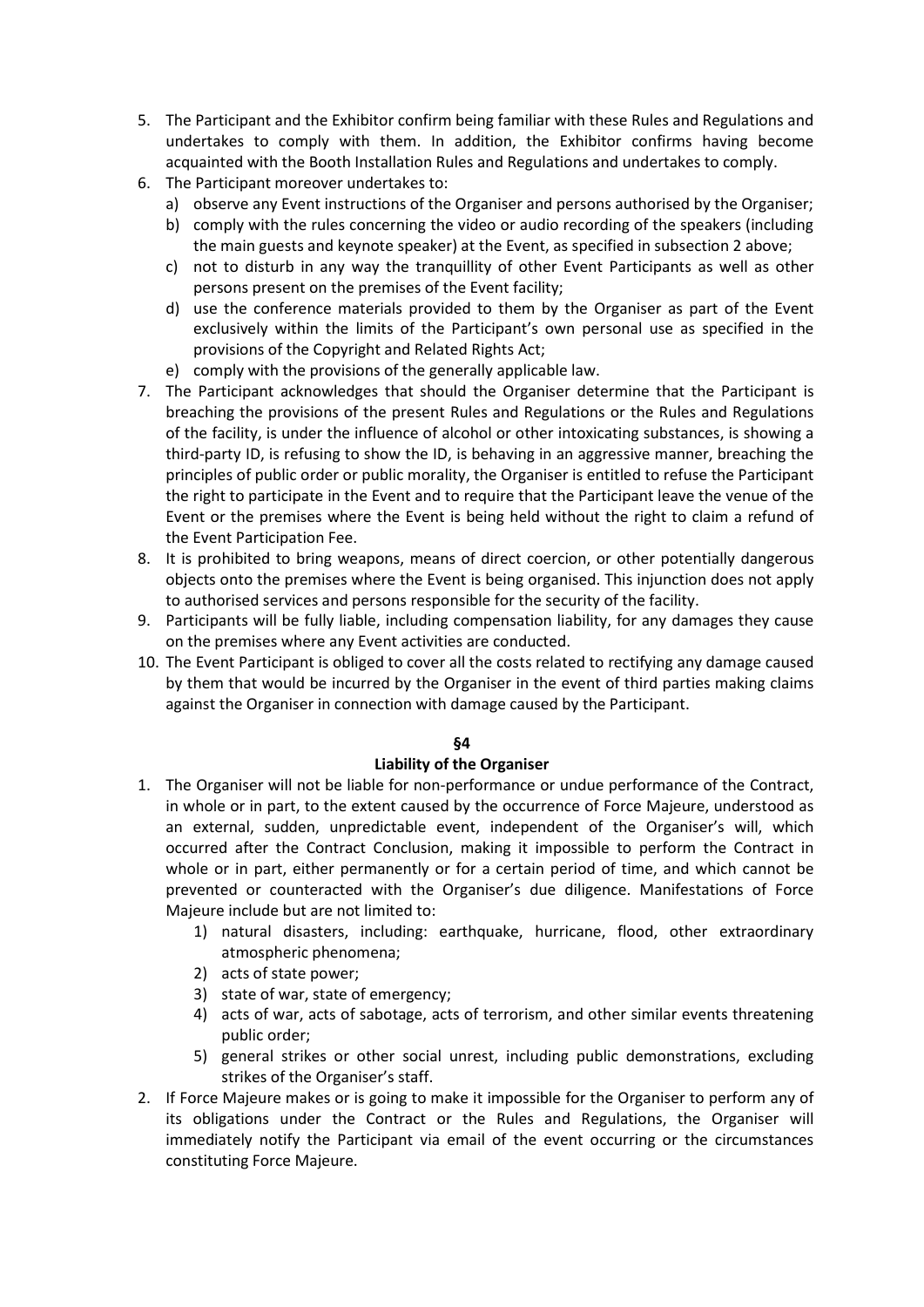- 5. The Participant and the Exhibitor confirm being familiar with these Rules and Regulations and undertakes to comply with them. In addition, the Exhibitor confirms having become acquainted with the Booth Installation Rules and Regulations and undertakes to comply.
- 6. The Participant moreover undertakes to:
	- a) observe any Event instructions of the Organiser and persons authorised by the Organiser;
	- b) comply with the rules concerning the video or audio recording of the speakers (including the main guests and keynote speaker) at the Event, as specified in subsection 2 above;
	- c) not to disturb in any way the tranquillity of other Event Participants as well as other persons present on the premises of the Event facility;
	- d) use the conference materials provided to them by the Organiser as part of the Event exclusively within the limits of the Participant's own personal use as specified in the provisions of the Copyright and Related Rights Act;
	- e) comply with the provisions of the generally applicable law.
- 7. The Participant acknowledges that should the Organiser determine that the Participant is breaching the provisions of the present Rules and Regulations or the Rules and Regulations of the facility, is under the influence of alcohol or other intoxicating substances, is showing a third-party ID, is refusing to show the ID, is behaving in an aggressive manner, breaching the principles of public order or public morality, the Organiser is entitled to refuse the Participant the right to participate in the Event and to require that the Participant leave the venue of the Event or the premises where the Event is being held without the right to claim a refund of the Event Participation Fee.
- 8. It is prohibited to bring weapons, means of direct coercion, or other potentially dangerous objects onto the premises where the Event is being organised. This injunction does not apply to authorised services and persons responsible for the security of the facility.
- 9. Participants will be fully liable, including compensation liability, for any damages they cause on the premises where any Event activities are conducted.
- 10. The Event Participant is obliged to cover all the costs related to rectifying any damage caused by them that would be incurred by the Organiser in the event of third parties making claims against the Organiser in connection with damage caused by the Participant.

## Liability of the Organiser

- 1. The Organiser will not be liable for non-performance or undue performance of the Contract, in whole or in part, to the extent caused by the occurrence of Force Majeure, understood as an external, sudden, unpredictable event, independent of the Organiser's will, which occurred after the Contract Conclusion, making it impossible to perform the Contract in whole or in part, either permanently or for a certain period of time, and which cannot be prevented or counteracted with the Organiser's due diligence. Manifestations of Force Majeure include but are not limited to:
	- 1) natural disasters, including: earthquake, hurricane, flood, other extraordinary atmospheric phenomena;
	- 2) acts of state power;
	- 3) state of war, state of emergency;
	- 4) acts of war, acts of sabotage, acts of terrorism, and other similar events threatening public order;
	- 5) general strikes or other social unrest, including public demonstrations, excluding strikes of the Organiser's staff.
- 2. If Force Majeure makes or is going to make it impossible for the Organiser to perform any of its obligations under the Contract or the Rules and Regulations, the Organiser will immediately notify the Participant via email of the event occurring or the circumstances constituting Force Majeure.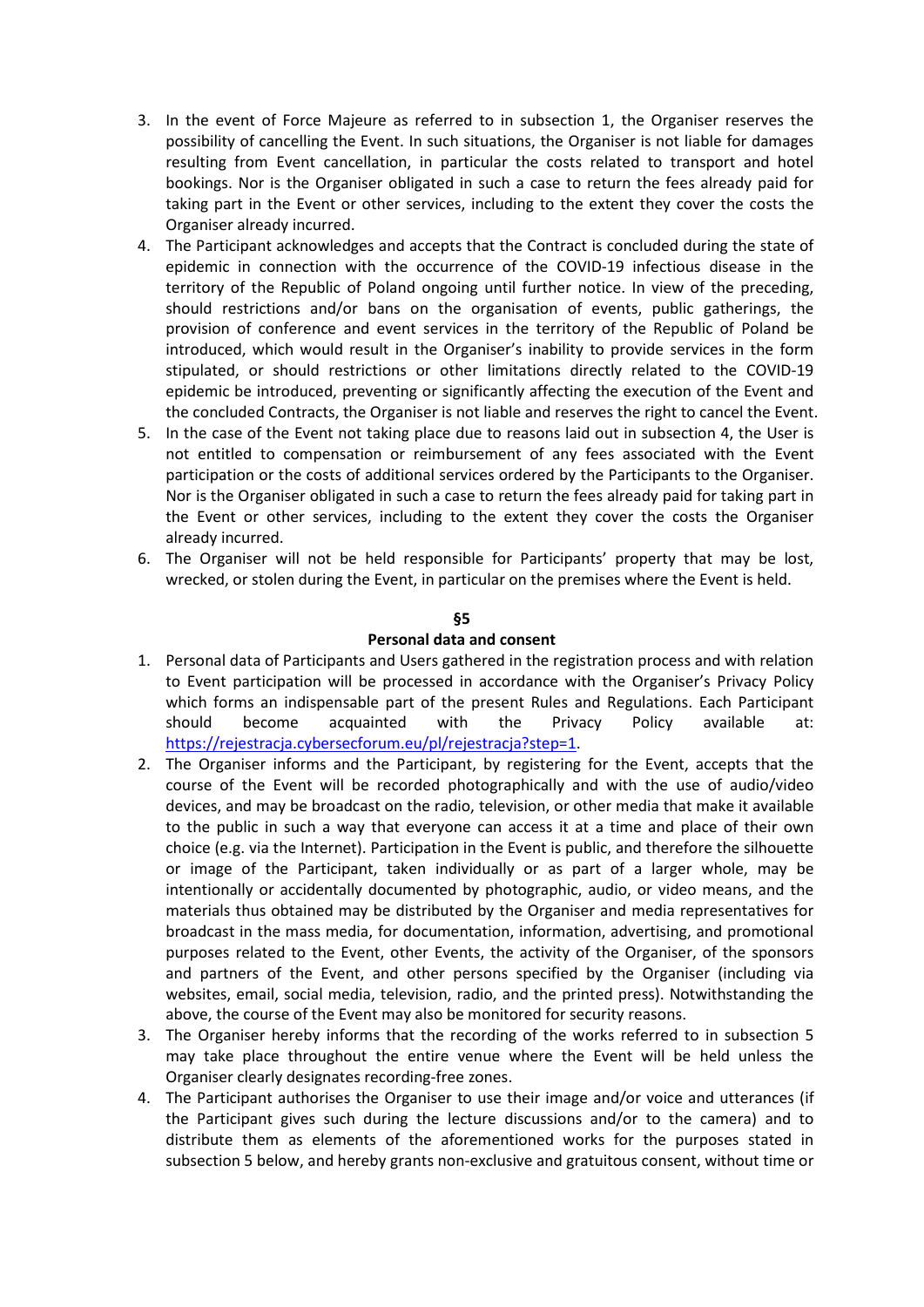- 3. In the event of Force Majeure as referred to in subsection 1, the Organiser reserves the possibility of cancelling the Event. In such situations, the Organiser is not liable for damages resulting from Event cancellation, in particular the costs related to transport and hotel bookings. Nor is the Organiser obligated in such a case to return the fees already paid for taking part in the Event or other services, including to the extent they cover the costs the Organiser already incurred.
- 4. The Participant acknowledges and accepts that the Contract is concluded during the state of epidemic in connection with the occurrence of the COVID-19 infectious disease in the territory of the Republic of Poland ongoing until further notice. In view of the preceding, should restrictions and/or bans on the organisation of events, public gatherings, the provision of conference and event services in the territory of the Republic of Poland be introduced, which would result in the Organiser's inability to provide services in the form stipulated, or should restrictions or other limitations directly related to the COVID-19 epidemic be introduced, preventing or significantly affecting the execution of the Event and the concluded Contracts, the Organiser is not liable and reserves the right to cancel the Event.
- 5. In the case of the Event not taking place due to reasons laid out in subsection 4, the User is not entitled to compensation or reimbursement of any fees associated with the Event participation or the costs of additional services ordered by the Participants to the Organiser. Nor is the Organiser obligated in such a case to return the fees already paid for taking part in the Event or other services, including to the extent they cover the costs the Organiser already incurred.
- 6. The Organiser will not be held responsible for Participants' property that may be lost, wrecked, or stolen during the Event, in particular on the premises where the Event is held.

#### Personal data and consent

- 1. Personal data of Participants and Users gathered in the registration process and with relation to Event participation will be processed in accordance with the Organiser's Privacy Policy which forms an indispensable part of the present Rules and Regulations. Each Participant should become acquainted with the Privacy Policy available at: https://rejestracja.cybersecforum.eu/pl/rejestracja?step=1.
- 2. The Organiser informs and the Participant, by registering for the Event, accepts that the course of the Event will be recorded photographically and with the use of audio/video devices, and may be broadcast on the radio, television, or other media that make it available to the public in such a way that everyone can access it at a time and place of their own choice (e.g. via the Internet). Participation in the Event is public, and therefore the silhouette or image of the Participant, taken individually or as part of a larger whole, may be intentionally or accidentally documented by photographic, audio, or video means, and the materials thus obtained may be distributed by the Organiser and media representatives for broadcast in the mass media, for documentation, information, advertising, and promotional purposes related to the Event, other Events, the activity of the Organiser, of the sponsors and partners of the Event, and other persons specified by the Organiser (including via websites, email, social media, television, radio, and the printed press). Notwithstanding the above, the course of the Event may also be monitored for security reasons.
- 3. The Organiser hereby informs that the recording of the works referred to in subsection 5 may take place throughout the entire venue where the Event will be held unless the Organiser clearly designates recording-free zones.
- 4. The Participant authorises the Organiser to use their image and/or voice and utterances (if the Participant gives such during the lecture discussions and/or to the camera) and to distribute them as elements of the aforementioned works for the purposes stated in subsection 5 below, and hereby grants non-exclusive and gratuitous consent, without time or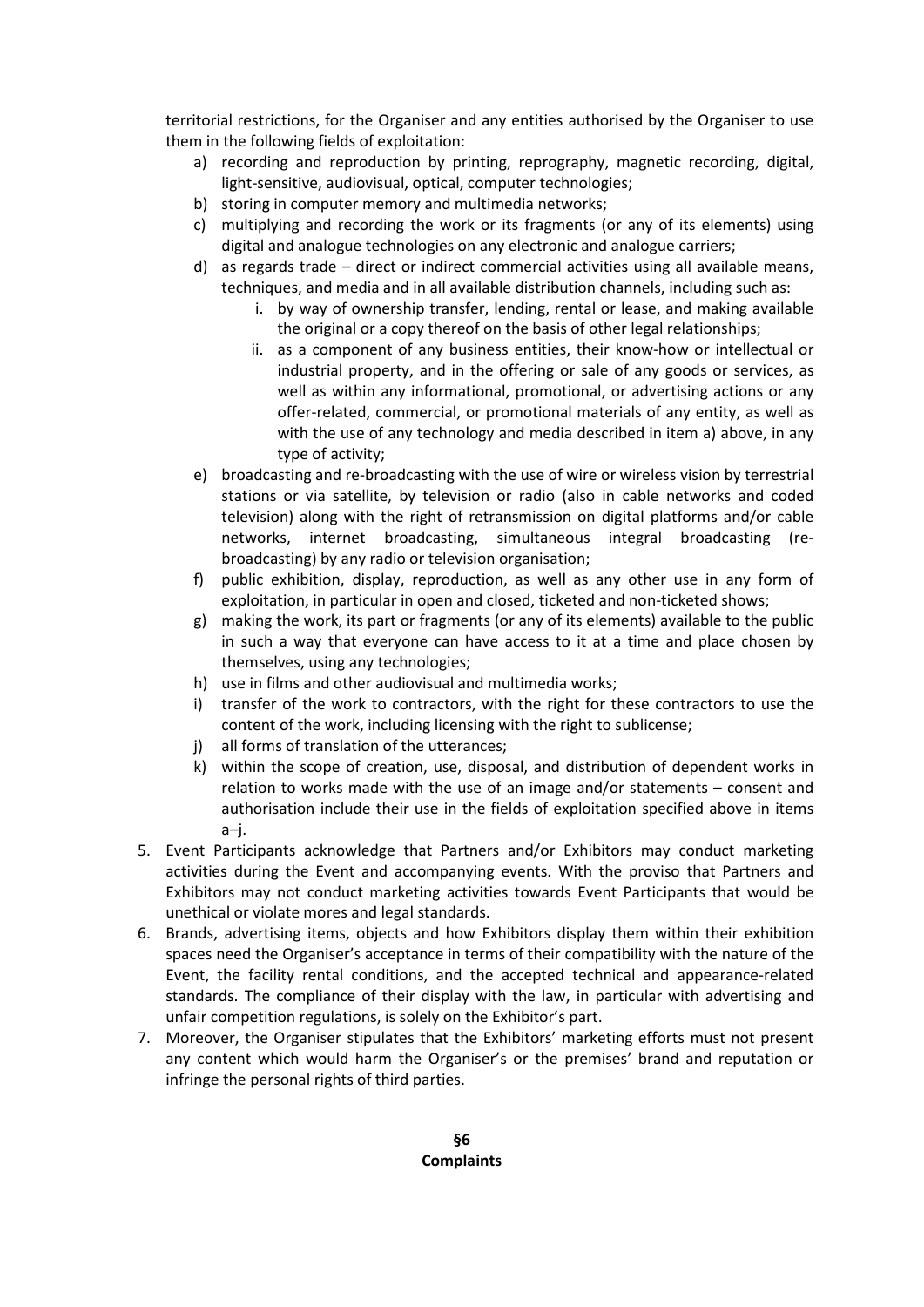territorial restrictions, for the Organiser and any entities authorised by the Organiser to use them in the following fields of exploitation:

- a) recording and reproduction by printing, reprography, magnetic recording, digital, light-sensitive, audiovisual, optical, computer technologies;
- b) storing in computer memory and multimedia networks;
- c) multiplying and recording the work or its fragments (or any of its elements) using digital and analogue technologies on any electronic and analogue carriers;
- d) as regards trade direct or indirect commercial activities using all available means, techniques, and media and in all available distribution channels, including such as:
	- i. by way of ownership transfer, lending, rental or lease, and making available the original or a copy thereof on the basis of other legal relationships;
	- ii. as a component of any business entities, their know-how or intellectual or industrial property, and in the offering or sale of any goods or services, as well as within any informational, promotional, or advertising actions or any offer-related, commercial, or promotional materials of any entity, as well as with the use of any technology and media described in item a) above, in any type of activity;
- e) broadcasting and re-broadcasting with the use of wire or wireless vision by terrestrial stations or via satellite, by television or radio (also in cable networks and coded television) along with the right of retransmission on digital platforms and/or cable networks, internet broadcasting, simultaneous integral broadcasting (rebroadcasting) by any radio or television organisation;
- f) public exhibition, display, reproduction, as well as any other use in any form of exploitation, in particular in open and closed, ticketed and non-ticketed shows;
- g) making the work, its part or fragments (or any of its elements) available to the public in such a way that everyone can have access to it at a time and place chosen by themselves, using any technologies;
- h) use in films and other audiovisual and multimedia works;
- i) transfer of the work to contractors, with the right for these contractors to use the content of the work, including licensing with the right to sublicense;
- j) all forms of translation of the utterances;
- k) within the scope of creation, use, disposal, and distribution of dependent works in relation to works made with the use of an image and/or statements – consent and authorisation include their use in the fields of exploitation specified above in items a–j.
- 5. Event Participants acknowledge that Partners and/or Exhibitors may conduct marketing activities during the Event and accompanying events. With the proviso that Partners and Exhibitors may not conduct marketing activities towards Event Participants that would be unethical or violate mores and legal standards.
- 6. Brands, advertising items, objects and how Exhibitors display them within their exhibition spaces need the Organiser's acceptance in terms of their compatibility with the nature of the Event, the facility rental conditions, and the accepted technical and appearance-related standards. The compliance of their display with the law, in particular with advertising and unfair competition regulations, is solely on the Exhibitor's part.
- 7. Moreover, the Organiser stipulates that the Exhibitors' marketing efforts must not present any content which would harm the Organiser's or the premises' brand and reputation or infringe the personal rights of third parties.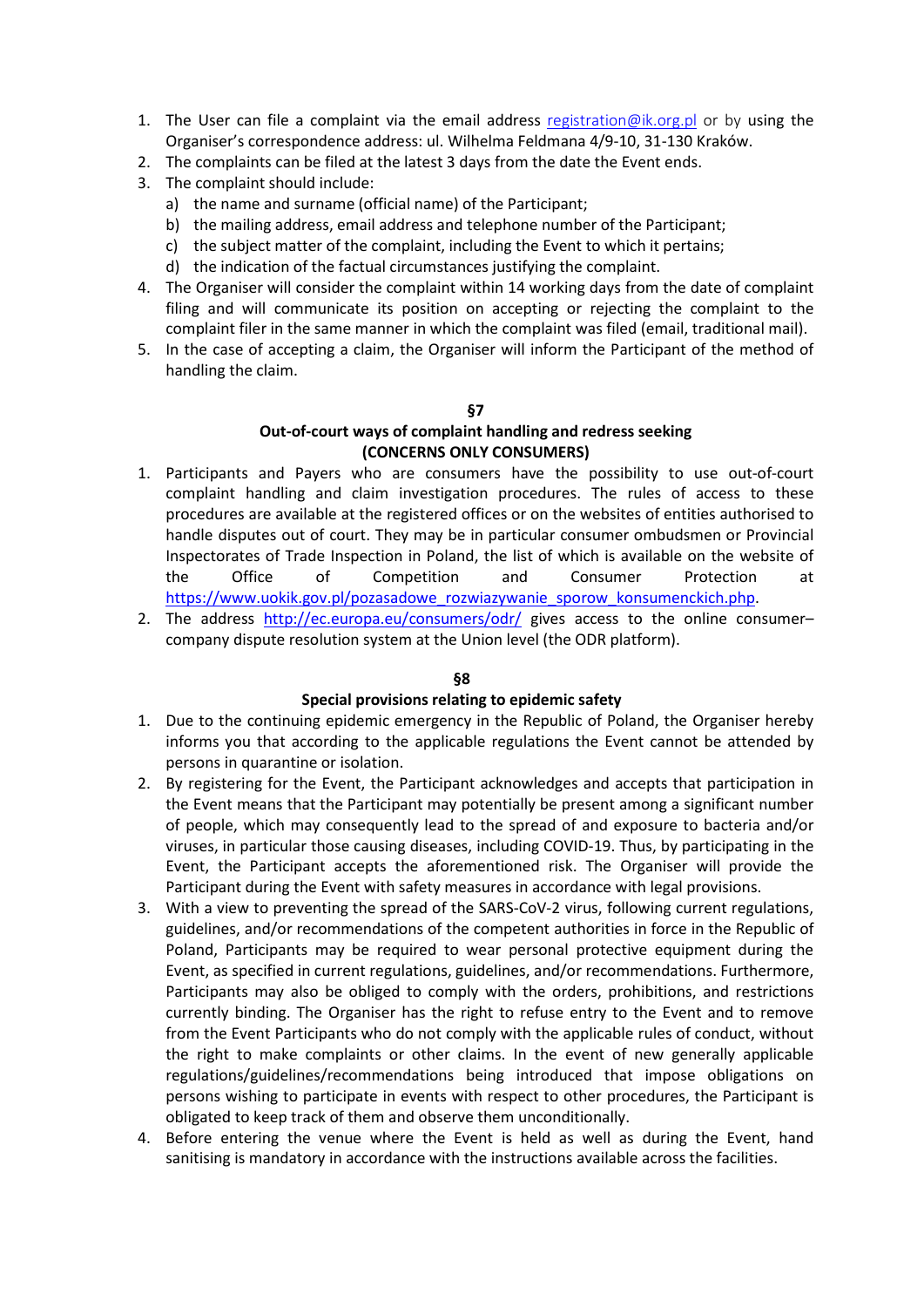- 1. The User can file a complaint via the email address registration@ik.org.pl or by using the Organiser's correspondence address: ul. Wilhelma Feldmana 4/9-10, 31-130 Kraków.
- 2. The complaints can be filed at the latest 3 days from the date the Event ends.
- 3. The complaint should include:
	- a) the name and surname (official name) of the Participant;
	- b) the mailing address, email address and telephone number of the Participant;
	- c) the subject matter of the complaint, including the Event to which it pertains;
	- d) the indication of the factual circumstances justifying the complaint.
- 4. The Organiser will consider the complaint within 14 working days from the date of complaint filing and will communicate its position on accepting or rejecting the complaint to the complaint filer in the same manner in which the complaint was filed (email, traditional mail).
- 5. In the case of accepting a claim, the Organiser will inform the Participant of the method of handling the claim.

### Out-of-court ways of complaint handling and redress seeking (CONCERNS ONLY CONSUMERS)

- 1. Participants and Payers who are consumers have the possibility to use out-of-court complaint handling and claim investigation procedures. The rules of access to these procedures are available at the registered offices or on the websites of entities authorised to handle disputes out of court. They may be in particular consumer ombudsmen or Provincial Inspectorates of Trade Inspection in Poland, the list of which is available on the website of the Office of Competition and Consumer Protection at https://www.uokik.gov.pl/pozasadowe\_rozwiazywanie\_sporow\_konsumenckich.php.
- 2. The address http://ec.europa.eu/consumers/odr/ gives access to the online consumercompany dispute resolution system at the Union level (the ODR platform).

### §8

### Special provisions relating to epidemic safety

- 1. Due to the continuing epidemic emergency in the Republic of Poland, the Organiser hereby informs you that according to the applicable regulations the Event cannot be attended by persons in quarantine or isolation.
- 2. By registering for the Event, the Participant acknowledges and accepts that participation in the Event means that the Participant may potentially be present among a significant number of people, which may consequently lead to the spread of and exposure to bacteria and/or viruses, in particular those causing diseases, including COVID-19. Thus, by participating in the Event, the Participant accepts the aforementioned risk. The Organiser will provide the Participant during the Event with safety measures in accordance with legal provisions.
- 3. With a view to preventing the spread of the SARS-CoV-2 virus, following current regulations, guidelines, and/or recommendations of the competent authorities in force in the Republic of Poland, Participants may be required to wear personal protective equipment during the Event, as specified in current regulations, guidelines, and/or recommendations. Furthermore, Participants may also be obliged to comply with the orders, prohibitions, and restrictions currently binding. The Organiser has the right to refuse entry to the Event and to remove from the Event Participants who do not comply with the applicable rules of conduct, without the right to make complaints or other claims. In the event of new generally applicable regulations/guidelines/recommendations being introduced that impose obligations on persons wishing to participate in events with respect to other procedures, the Participant is obligated to keep track of them and observe them unconditionally.
- 4. Before entering the venue where the Event is held as well as during the Event, hand sanitising is mandatory in accordance with the instructions available across the facilities.